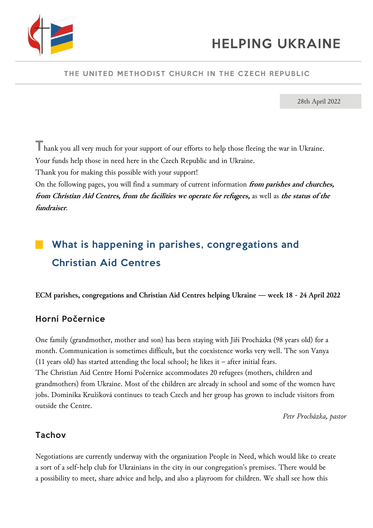

### THE UNITED METHODIST CHURCH IN THE CZECH REPUBLIC

28th April 2022

Thank you all very much for your support of our efforts to help those fleeing the war in Ukraine. Your funds help those in need here in the Czech Republic and in Ukraine.

Thank you for making this possible with your support!

On the following pages, you will find a summary of current information **from parishes and churches, from Christian Aid Centres, from the facilities we operate for refugees,** as well as **the status of the fundraiser**.

# What is happening in parishes, congregations and Christian Aid Centres

**ECM parishes, congregations and Christian Aid Centres helping Ukraine — week 18 - 24 April 2022**

## Horní Počernice

One family (grandmother, mother and son) has been staying with Jiří Procházka (98 years old) for a month. Communication is sometimes difficult, but the coexistence works very well. The son Vanya (11 years old) has started attending the local school; he likes it – after initial fears. The Christian Aid Centre Horní Počernice accommodates 20 refugees (mothers, children and grandmothers) from Ukraine. Most of the children are already in school and some of the women have jobs. Dominika Kružíková continues to teach Czech and her group has grown to include visitors from outside the Centre.

*Petr Procházka, pastor*

### Tachov

Negotiations are currently underway with the organization People in Need, which would like to create a sort of a self-help club for Ukrainians in the city in our congregation's premises. There would be a possibility to meet, share advice and help, and also a playroom for children. We shall see how this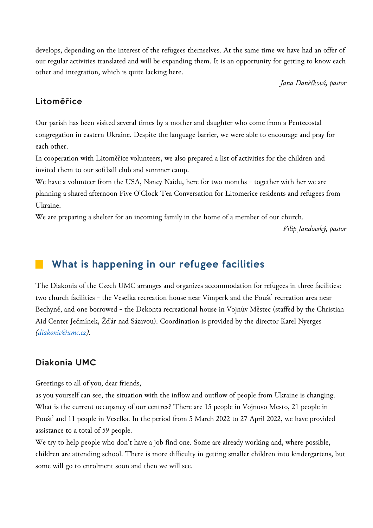develops, depending on the interest of the refugees themselves. At the same time we have had an offer of our regular activities translated and will be expanding them. It is an opportunity for getting to know each other and integration, which is quite lacking here.

*Jana Daněčková, pastor*

### Litoměřice

Our parish has been visited several times by a mother and daughter who come from a Pentecostal congregation in eastern Ukraine. Despite the language barrier, we were able to encourage and pray for each other.

In cooperation with Litoměřice volunteers, we also prepared a list of activities for the children and invited them to our softball club and summer camp.

We have a volunteer from the USA, Nancy Naidu, here for two months - together with her we are planning a shared afternoon Five O'Clock Tea Conversation for Litomerice residents and refugees from Ukraine.

We are preparing a shelter for an incoming family in the home of a member of our church.

*Filip Jandovský, pastor*

# What is happening in our refugee facilities

The Diakonia of the Czech UMC arranges and organizes accommodation for refugees in three facilities: two church facilities - the Veselka recreation house near Vimperk and the Poušť recreation area near Bechyně, and one borrowed - the Dekonta recreational house in Vojnův Městec (staffed by the Christian Aid Center Ječmínek, Žďár nad Sázavou). Coordination is provided by the director Karel Nyerges *[\(diakonie@umc.cz\)](mailto:diakonie@umc.cz).*

## Diakonia UMC

Greetings to all of you, dear friends,

as you yourself can see, the situation with the inflow and outflow of people from Ukraine is changing. What is the current occupancy of our centres? There are 15 people in Vojnovo Mesto, 21 people in Poušť and 11 people in Veselka. In the period from 5 March 2022 to 27 April 2022, we have provided assistance to a total of 59 people.

We try to help people who don't have a job find one. Some are already working and, where possible, children are attending school. There is more difficulty in getting smaller children into kindergartens, but some will go to enrolment soon and then we will see.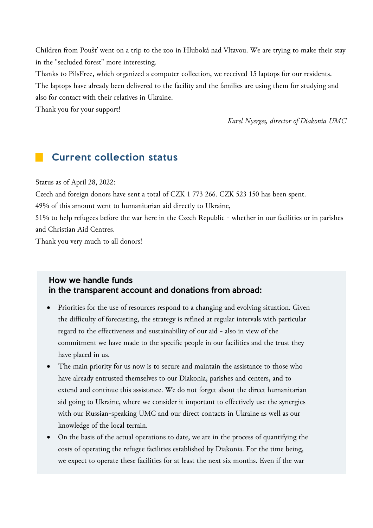Children from Poušť went on a trip to the zoo in Hluboká nad Vltavou. We are trying to make their stay in the "secluded forest" more interesting.

Thanks to PilsFree, which organized a computer collection, we received 15 laptops for our residents. The laptops have already been delivered to the facility and the families are using them for studying and also for contact with their relatives in Ukraine.

Thank you for your support!

*Karel Nyerges, director of Diakonia UMC*

# **Current collection status**

Status as of April 28, 2022:

Czech and foreign donors have sent a total of CZK 1 773 266. CZK 523 150 has been spent.

49% of this amount went to humanitarian aid directly to Ukraine,

51% to help refugees before the war here in the Czech Republic - whether in our facilities or in parishes and Christian Aid Centres.

Thank you very much to all donors!

#### How we handle funds in the transparent account and donations from abroad:

- Priorities for the use of resources respond to a changing and evolving situation. Given the difficulty of forecasting, the strategy is refined at regular intervals with particular regard to the effectiveness and sustainability of our aid - also in view of the commitment we have made to the specific people in our facilities and the trust they have placed in us.
- The main priority for us now is to secure and maintain the assistance to those who have already entrusted themselves to our Diakonia, parishes and centers, and to extend and continue this assistance. We do not forget about the direct humanitarian aid going to Ukraine, where we consider it important to effectively use the synergies with our Russian-speaking UMC and our direct contacts in Ukraine as well as our knowledge of the local terrain.
- On the basis of the actual operations to date, we are in the process of quantifying the costs of operating the refugee facilities established by Diakonia. For the time being, we expect to operate these facilities for at least the next six months. Even if the war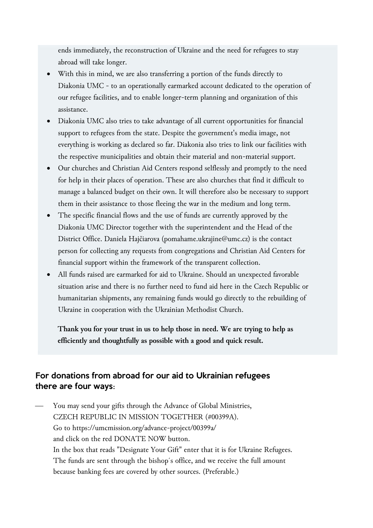ends immediately, the reconstruction of Ukraine and the need for refugees to stay abroad will take longer.

- With this in mind, we are also transferring a portion of the funds directly to Diakonia UMC - to an operationally earmarked account dedicated to the operation of our refugee facilities, and to enable longer-term planning and organization of this assistance.
- Diakonia UMC also tries to take advantage of all current opportunities for financial support to refugees from the state. Despite the government's media image, not everything is working as declared so far. Diakonia also tries to link our facilities with the respective municipalities and obtain their material and non-material support.
- Our churches and Christian Aid Centers respond selflessly and promptly to the need for help in their places of operation. These are also churches that find it difficult to manage a balanced budget on their own. It will therefore also be necessary to support them in their assistance to those fleeing the war in the medium and long term.
- The specific financial flows and the use of funds are currently approved by the Diakonia UMC Director together with the superintendent and the Head of the District Office. Daniela Hajčiarova (pomahame.ukrajine@umc.cz) is the contact person for collecting any requests from congregations and Christian Aid Centers for financial support within the framework of the transparent collection.
- All funds raised are earmarked for aid to Ukraine. Should an unexpected favorable situation arise and there is no further need to fund aid here in the Czech Republic or humanitarian shipments, any remaining funds would go directly to the rebuilding of Ukraine in cooperation with the Ukrainian Methodist Church.

**Thank you for your trust in us to help those in need. We are trying to help as efficiently and thoughtfully as possible with a good and quick result.** 

### For donations from abroad for our aid to Ukrainian refugees there are four ways**:**

You may send your gifts through the Advance of Global Ministries, CZECH REPUBLIC IN MISSION TOGETHER [\(#00399A\)](https://www.facebook.com/hashtag/00399a?__eep__=6&__gid__=171409653540&__cft__%5b0%5d=AZWiYoYV6si5Q7WblFdZv16caKXW8NS3Wi28V4GItwGloBWRD3URkZVgGjwaeJWhkVRQBha5OLgFj_6dpo6IFihtaGCaEDYwPg8bu3n0eL88CDXVxRC9J5vK0bTAv_aF0mN0ILh7RnMaigg0SxKg69dV1gxmIbJTdzzak-C8_aVdOOYNdNO5cIskQIGn-aog_7Y&__tn__=*NK-R). Go to [https://umcmission.org/advance-project/00399a/](https://r20.rs6.net/tn.jsp?f=001QHVxD7f77rEycnl40o5Su4V3UGsWxr2rEwSoxVtJ6cHfP17DgzqF1-DW8hk-TP_kI0kcvCN3uKRU7dZB0-7CmXB5n9NA8JLZ86BnUSVvsFibrnmcB75bd8qWfDZ9hXnGdFPa2heLGTKj8e8uyHHt6avIlUI07U8lliprwe1tIyvAo1RFV7N0dw==&c=hLcV3RFT035hSZZPrZ1j1RE7Tl-yzGAt1mUyEkX3HL0Js0xhte0TXw==&ch=Z1odasyt-Jnx-kBOKVSfR_XDBSkh16g1BCVsGEdQ5haPVs7JXpGWZw==) and click on the red DONATE NOW button. In the box that reads "Designate Your Gift" enter that it is for Ukraine Refugees. The funds are sent through the bishop´s office, and we receive the full amount because banking fees are covered by other sources. (Preferable.)